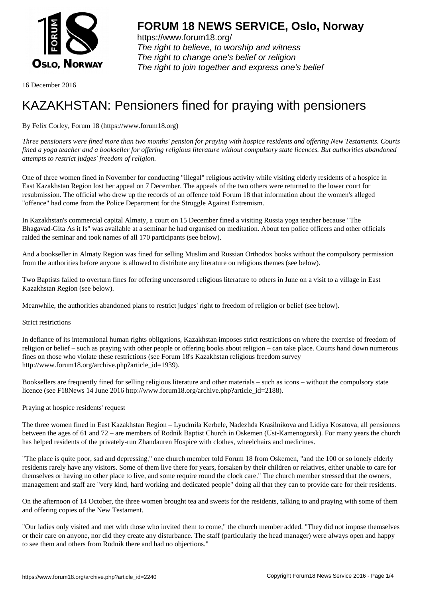

https://www.forum18.org/ The right to believe, to worship and witness The right to change one's belief or religion [The right to join together a](https://www.forum18.org/)nd express one's belief

16 December 2016

## [KAZAKHSTAN:](https://www.forum18.org) Pensioners fined for praying with pensioners

By Felix Corley, Forum 18 (https://www.forum18.org)

*Three pensioners were fined more than two months' pension for praying with hospice residents and offering New Testaments. Courts fined a yoga teacher and a bookseller for offering religious literature without compulsory state licences. But authorities abandoned attempts to restrict judges' freedom of religion.*

One of three women fined in November for conducting "illegal" religious activity while visiting elderly residents of a hospice in East Kazakhstan Region lost her appeal on 7 December. The appeals of the two others were returned to the lower court for resubmission. The official who drew up the records of an offence told Forum 18 that information about the women's alleged "offence" had come from the Police Department for the Struggle Against Extremism.

In Kazakhstan's commercial capital Almaty, a court on 15 December fined a visiting Russia yoga teacher because "The Bhagavad-Gita As it Is" was available at a seminar he had organised on meditation. About ten police officers and other officials raided the seminar and took names of all 170 participants (see below).

And a bookseller in Almaty Region was fined for selling Muslim and Russian Orthodox books without the compulsory permission from the authorities before anyone is allowed to distribute any literature on religious themes (see below).

Two Baptists failed to overturn fines for offering uncensored religious literature to others in June on a visit to a village in East Kazakhstan Region (see below).

Meanwhile, the authorities abandoned plans to restrict judges' right to freedom of religion or belief (see below).

## Strict restrictions

In defiance of its international human rights obligations, Kazakhstan imposes strict restrictions on where the exercise of freedom of religion or belief – such as praying with other people or offering books about religion – can take place. Courts hand down numerous fines on those who violate these restrictions (see Forum 18's Kazakhstan religious freedom survey http://www.forum18.org/archive.php?article\_id=1939).

Booksellers are frequently fined for selling religious literature and other materials – such as icons – without the compulsory state licence (see F18News 14 June 2016 http://www.forum18.org/archive.php?article\_id=2188).

Praying at hospice residents' request

The three women fined in East Kazakhstan Region – Lyudmila Kerbele, Nadezhda Krasilnikova and Lidiya Kosatova, all pensioners between the ages of 61 and 72 – are members of Rodnik Baptist Church in Oskemen (Ust-Kamenogorsk). For many years the church has helped residents of the privately-run Zhandauren Hospice with clothes, wheelchairs and medicines.

"The place is quite poor, sad and depressing," one church member told Forum 18 from Oskemen, "and the 100 or so lonely elderly residents rarely have any visitors. Some of them live there for years, forsaken by their children or relatives, either unable to care for themselves or having no other place to live, and some require round the clock care." The church member stressed that the owners, management and staff are "very kind, hard working and dedicated people" doing all that they can to provide care for their residents.

On the afternoon of 14 October, the three women brought tea and sweets for the residents, talking to and praying with some of them and offering copies of the New Testament.

"Our ladies only visited and met with those who invited them to come," the church member added. "They did not impose themselves or their care on anyone, nor did they create any disturbance. The staff (particularly the head manager) were always open and happy to see them and others from Rodnik there and had no objections."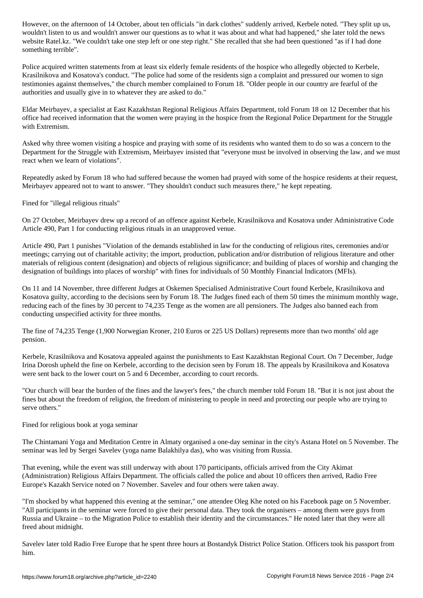where the usual answer our questions as to what it was about and what had happened," she later to what had happened," she later to what had happened," she later to what had happened," she later to the news and the news ar website Ratel.kz. "We couldn't take one step left or one step right." She recalled that she had been questioned "as if I had done something terrible".

Police acquired written statements from at least six elderly female residents of the hospice who allegedly objected to Kerbele, Krasilnikova and Kosatova's conduct. "The police had some of the residents sign a complaint and pressured our women to sign testimonies against themselves," the church member complained to Forum 18. "Older people in our country are fearful of the authorities and usually give in to whatever they are asked to do."

Eldar Meirbayev, a specialist at East Kazakhstan Regional Religious Affairs Department, told Forum 18 on 12 December that his office had received information that the women were praying in the hospice from the Regional Police Department for the Struggle with Extremism.

Asked why three women visiting a hospice and praying with some of its residents who wanted them to do so was a concern to the Department for the Struggle with Extremism, Meirbayev insisted that "everyone must be involved in observing the law, and we must react when we learn of violations".

Repeatedly asked by Forum 18 who had suffered because the women had prayed with some of the hospice residents at their request, Meirbayev appeared not to want to answer. "They shouldn't conduct such measures there," he kept repeating.

Fined for "illegal religious rituals"

On 27 October, Meirbayev drew up a record of an offence against Kerbele, Krasilnikova and Kosatova under Administrative Code Article 490, Part 1 for conducting religious rituals in an unapproved venue.

Article 490, Part 1 punishes "Violation of the demands established in law for the conducting of religious rites, ceremonies and/or meetings; carrying out of charitable activity; the import, production, publication and/or distribution of religious literature and other materials of religious content (designation) and objects of religious significance; and building of places of worship and changing the designation of buildings into places of worship" with fines for individuals of 50 Monthly Financial Indicators (MFIs).

On 11 and 14 November, three different Judges at Oskemen Specialised Administrative Court found Kerbele, Krasilnikova and Kosatova guilty, according to the decisions seen by Forum 18. The Judges fined each of them 50 times the minimum monthly wage, reducing each of the fines by 30 percent to 74,235 Tenge as the women are all pensioners. The Judges also banned each from conducting unspecified activity for three months.

The fine of 74,235 Tenge (1,900 Norwegian Kroner, 210 Euros or 225 US Dollars) represents more than two months' old age pension.

Kerbele, Krasilnikova and Kosatova appealed against the punishments to East Kazakhstan Regional Court. On 7 December, Judge Irina Dorosh upheld the fine on Kerbele, according to the decision seen by Forum 18. The appeals by Krasilnikova and Kosatova were sent back to the lower court on 5 and 6 December, according to court records.

"Our church will bear the burden of the fines and the lawyer's fees," the church member told Forum 18. "But it is not just about the fines but about the freedom of religion, the freedom of ministering to people in need and protecting our people who are trying to serve others."

Fined for religious book at yoga seminar

The Chintamani Yoga and Meditation Centre in Almaty organised a one-day seminar in the city's Astana Hotel on 5 November. The seminar was led by Sergei Savelev (yoga name Balakhilya das), who was visiting from Russia.

That evening, while the event was still underway with about 170 participants, officials arrived from the City Akimat (Administration) Religious Affairs Department. The officials called the police and about 10 officers then arrived, Radio Free Europe's Kazakh Service noted on 7 November. Savelev and four others were taken away.

"I'm shocked by what happened this evening at the seminar," one attendee Oleg Khe noted on his Facebook page on 5 November. "All participants in the seminar were forced to give their personal data. They took the organisers – among them were guys from Russia and Ukraine – to the Migration Police to establish their identity and the circumstances." He noted later that they were all freed about midnight.

Savelev later told Radio Free Europe that he spent three hours at Bostandyk District Police Station. Officers took his passport from him.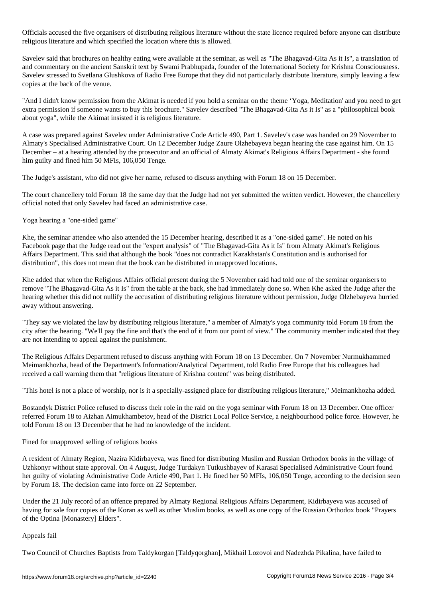Officials accused the five organisers of distributing religious literature without the state licence required before anyone can distribute religious literature and which specified the location where this is allowed.

Savelev said that brochures on healthy eating were available at the seminar, as well as "The Bhagavad-Gita As it Is", a translation of and commentary on the ancient Sanskrit text by Swami Prabhupada, founder of the International Society for Krishna Consciousness. Savelev stressed to Svetlana Glushkova of Radio Free Europe that they did not particularly distribute literature, simply leaving a few copies at the back of the venue.

"And I didn't know permission from the Akimat is needed if you hold a seminar on the theme 'Yoga, Meditation' and you need to get extra permission if someone wants to buy this brochure." Savelev described "The Bhagavad-Gita As it Is" as a "philosophical book about yoga", while the Akimat insisted it is religious literature.

A case was prepared against Savelev under Administrative Code Article 490, Part 1. Savelev's case was handed on 29 November to Almaty's Specialised Administrative Court. On 12 December Judge Zaure Olzhebayeva began hearing the case against him. On 15 December – at a hearing attended by the prosecutor and an official of Almaty Akimat's Religious Affairs Department - she found him guilty and fined him 50 MFIs, 106,050 Tenge.

The Judge's assistant, who did not give her name, refused to discuss anything with Forum 18 on 15 December.

The court chancellery told Forum 18 the same day that the Judge had not yet submitted the written verdict. However, the chancellery official noted that only Savelev had faced an administrative case.

Yoga hearing a "one-sided game"

Khe, the seminar attendee who also attended the 15 December hearing, described it as a "one-sided game". He noted on his Facebook page that the Judge read out the "expert analysis" of "The Bhagavad-Gita As it Is" from Almaty Akimat's Religious Affairs Department. This said that although the book "does not contradict Kazakhstan's Constitution and is authorised for distribution", this does not mean that the book can be distributed in unapproved locations.

Khe added that when the Religious Affairs official present during the 5 November raid had told one of the seminar organisers to remove "The Bhagavad-Gita As it Is" from the table at the back, she had immediately done so. When Khe asked the Judge after the hearing whether this did not nullify the accusation of distributing religious literature without permission, Judge Olzhebayeva hurried away without answering.

"They say we violated the law by distributing religious literature," a member of Almaty's yoga community told Forum 18 from the city after the hearing. "We'll pay the fine and that's the end of it from our point of view." The community member indicated that they are not intending to appeal against the punishment.

The Religious Affairs Department refused to discuss anything with Forum 18 on 13 December. On 7 November Nurmukhammed Meimankhozha, head of the Department's Information/Analytical Department, told Radio Free Europe that his colleagues had received a call warning them that "religious literature of Krishna content" was being distributed.

"This hotel is not a place of worship, nor is it a specially-assigned place for distributing religious literature," Meimankhozha added.

Bostandyk District Police refused to discuss their role in the raid on the yoga seminar with Forum 18 on 13 December. One officer referred Forum 18 to Aizhan Aimukhambetov, head of the District Local Police Service, a neighbourhood police force. However, he told Forum 18 on 13 December that he had no knowledge of the incident.

## Fined for unapproved selling of religious books

A resident of Almaty Region, Nazira Kidirbayeva, was fined for distributing Muslim and Russian Orthodox books in the village of Uzhkonyr without state approval. On 4 August, Judge Turdakyn Tutkushbayev of Karasai Specialised Administrative Court found her guilty of violating Administrative Code Article 490, Part 1. He fined her 50 MFIs, 106,050 Tenge, according to the decision seen by Forum 18. The decision came into force on 22 September.

Under the 21 July record of an offence prepared by Almaty Regional Religious Affairs Department, Kidirbayeva was accused of having for sale four copies of the Koran as well as other Muslim books, as well as one copy of the Russian Orthodox book "Prayers of the Optina [Monastery] Elders".

## Appeals fail

Two Council of Churches Baptists from Taldykorgan [Taldyqorghan], Mikhail Lozovoi and Nadezhda Pikalina, have failed to